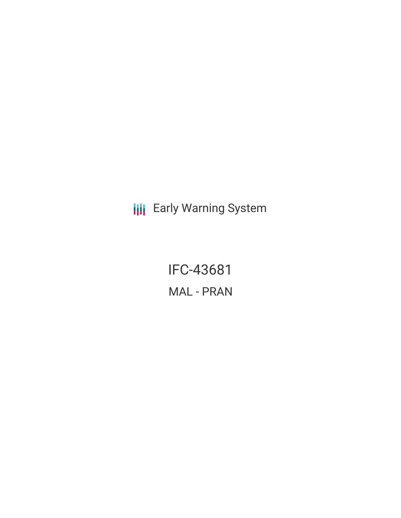**III** Early Warning System

IFC-43681 MAL - PRAN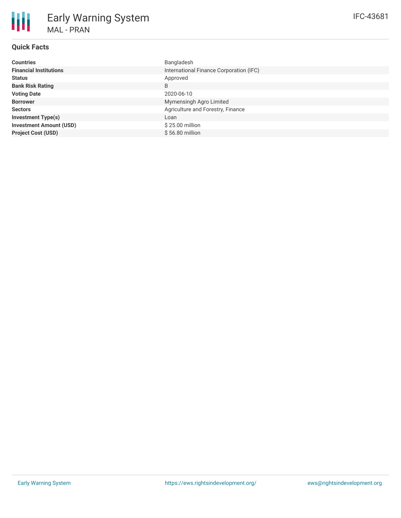| <b>Countries</b>               | Bangladesh                              |
|--------------------------------|-----------------------------------------|
| <b>Financial Institutions</b>  | International Finance Corporation (IFC) |
| <b>Status</b>                  | Approved                                |
| <b>Bank Risk Rating</b>        | B                                       |
| <b>Voting Date</b>             | 2020-06-10                              |
| <b>Borrower</b>                | Mymensingh Agro Limited                 |
| <b>Sectors</b>                 | Agriculture and Forestry, Finance       |
| <b>Investment Type(s)</b>      | Loan                                    |
| <b>Investment Amount (USD)</b> | \$25.00 million                         |
| <b>Project Cost (USD)</b>      | $$56.80$ million                        |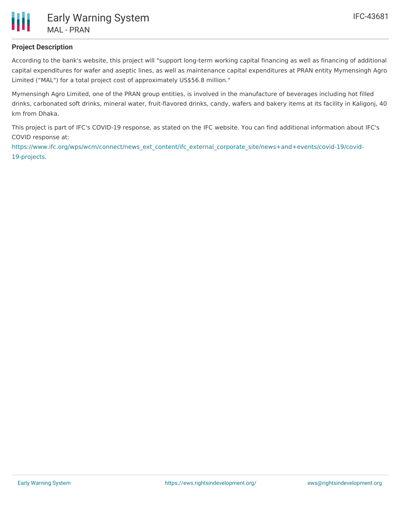

## **Project Description**

According to the bank's website, this project will "support long-term working capital financing as well as financing of additional capital expenditures for wafer and aseptic lines, as well as maintenance capital expenditures at PRAN entity Mymensingh Agro Limited ("MAL") for a total project cost of approximately US\$56.8 million."

Mymensingh Agro Limited, one of the PRAN group entities, is involved in the manufacture of beverages including hot filled drinks, carbonated soft drinks, mineral water, fruit-flavored drinks, candy, wafers and bakery items at its facility in Kaligonj, 40 km from Dhaka.

This project is part of IFC's COVID-19 response, as stated on the IFC website. You can find additional information about IFC's COVID response at:

[https://www.ifc.org/wps/wcm/connect/news\\_ext\\_content/ifc\\_external\\_corporate\\_site/news+and+events/covid-19/covid-](https://www.ifc.org/wps/wcm/connect/news_ext_content/ifc_external_corporate_site/news+and+events/covid-19/covid-19-projects)19-projects.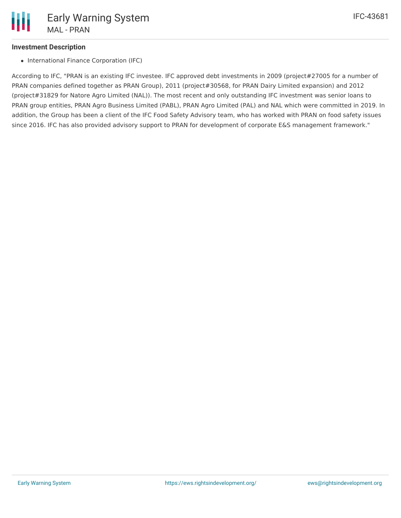## **Investment Description**

• International Finance Corporation (IFC)

According to IFC, "PRAN is an existing IFC investee. IFC approved debt investments in 2009 (project#27005 for a number of PRAN companies defined together as PRAN Group), 2011 (project#30568, for PRAN Dairy Limited expansion) and 2012 (project#31829 for Natore Agro Limited (NAL)). The most recent and only outstanding IFC investment was senior loans to PRAN group entities, PRAN Agro Business Limited (PABL), PRAN Agro Limited (PAL) and NAL which were committed in 2019. In addition, the Group has been a client of the IFC Food Safety Advisory team, who has worked with PRAN on food safety issues since 2016. IFC has also provided advisory support to PRAN for development of corporate E&S management framework."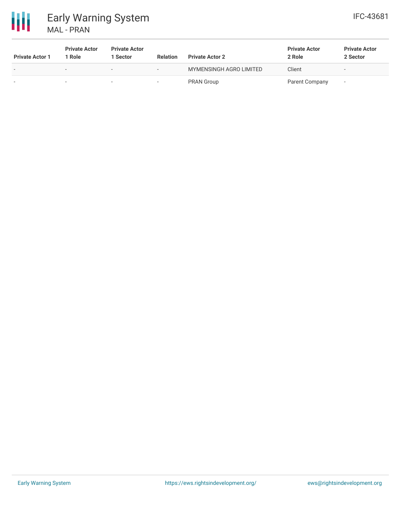

| <b>Private Actor 1</b> | <b>Private Actor</b><br>1 Role | <b>Private Actor</b><br>l Sector | <b>Relation</b> | <b>Private Actor 2</b>  | <b>Private Actor</b><br>2 Role | <b>Private Actor</b><br>2 Sector |
|------------------------|--------------------------------|----------------------------------|-----------------|-------------------------|--------------------------------|----------------------------------|
|                        | $\sim$                         |                                  | . .             | MYMENSINGH AGRO LIMITED | Client                         | $\overline{\phantom{a}}$         |
|                        |                                |                                  |                 | <b>PRAN Group</b>       | Parent Company                 | -                                |